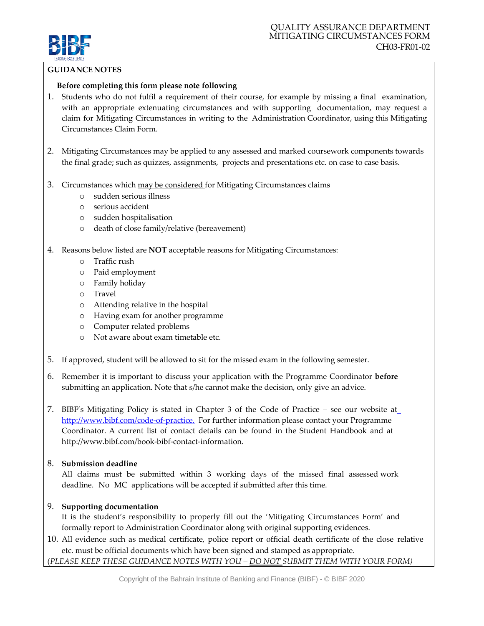

## **GUIDANCENOTES**

## **Before completing this form please note following**

- 1. Students who do not fulfil a requirement of their course, for example by missing a final examination, with an appropriate extenuating circumstances and with supporting documentation, may request a claim for Mitigating Circumstances in writing to the Administration Coordinator, using this Mitigating Circumstances Claim Form.
- 2. Mitigating Circumstances may be applied to any assessed and marked coursework components towards the final grade; such as quizzes, assignments, projects and presentations etc. on case to case basis.
- 3. Circumstances which may be considered for Mitigating Circumstances claims
	- o sudden serious illness
	- o serious accident
	- o sudden hospitalisation
	- o death of close family/relative (bereavement)
- 4. Reasons below listed are **NOT** acceptable reasons for Mitigating Circumstances:
	- o Traffic rush
	- o Paid employment
	- o Family holiday
	- o Travel
	- o Attending relative in the hospital
	- o Having exam for another programme
	- o Computer related problems
	- o Not aware about exam timetable etc.
- 5. If approved, student will be allowed to sit for the missed exam in the following semester.
- 6. Remember it is important to discuss your application with the Programme Coordinator **before** submitting an application. Note that s/he cannot make the decision, only give an advice.
- 7. BIBF's Mitigating Policy is stated in Chapter 3 of the Code of Practice see our website a[t](http://www.bibf.com/code-of-practice.) <http://www.bibf.com/code-of-practice.> For further information please contact your Programme Coordinator. A current list of contact details can be found in the Student Handbook and at [http://www.bibf.com/book-bibf-contact-information.](http://www.bibf.com/book-bibf-contact-information)

#### 8. **Submission deadline**

All claims must be submitted within  $3$  working days of the missed final assessed work deadline. No MC applications will be accepted if submitted after this time.

# 9. **Supporting documentation**

It is the student's responsibility to properly fill out the 'Mitigating Circumstances Form' and formally report to Administration Coordinator along with original supporting evidences.

10. All evidence such as medical certificate, police report or official death certificate of the close relative etc. must be official documents which have been signed and stamped as appropriate. (*PLEASE KEEP THESE GUIDANCE NOTES WITH YOU – DO NOT SUBMIT THEM WITH YOUR FORM)*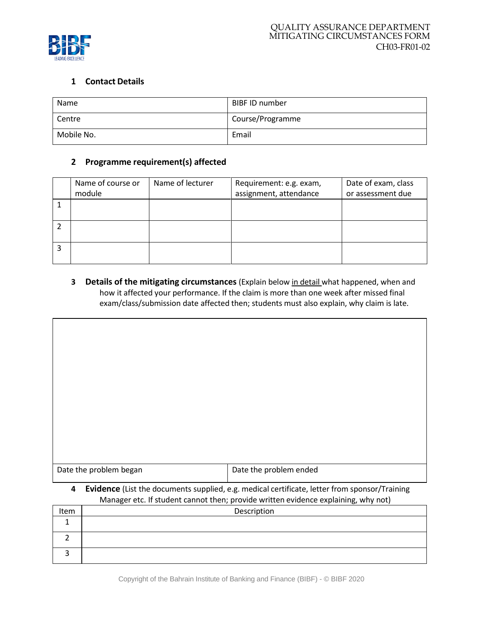

# **1 Contact Details**

| Name       | BIBF ID number   |
|------------|------------------|
| Centre     | Course/Programme |
| Mobile No. | Email            |

# **2 Programme requirement(s) affected**

| Name of course or<br>module | Name of lecturer | Requirement: e.g. exam,<br>assignment, attendance | Date of exam, class<br>or assessment due |
|-----------------------------|------------------|---------------------------------------------------|------------------------------------------|
|                             |                  |                                                   |                                          |
|                             |                  |                                                   |                                          |
|                             |                  |                                                   |                                          |

**3 Details of the mitigating circumstances** (Explain below in detail what happened, when and how it affected your performance. If the claim is more than one week after missed final exam/class/submission date affected then; students must also explain, why claim is late.

| Date the problem began                                                                                                                                                                  | Date the problem ended |  |
|-----------------------------------------------------------------------------------------------------------------------------------------------------------------------------------------|------------------------|--|
| Evidence (List the documents supplied, e.g. medical certificate, letter from sponsor/Training<br>4<br>Manager etc. If student cannot then: provide written evidence explaining why not) |                        |  |

| Trianager etc. If student cannot then, provide written evidence explaining, writ not) |             |  |
|---------------------------------------------------------------------------------------|-------------|--|
| Item                                                                                  | Description |  |
|                                                                                       |             |  |
|                                                                                       |             |  |
|                                                                                       |             |  |